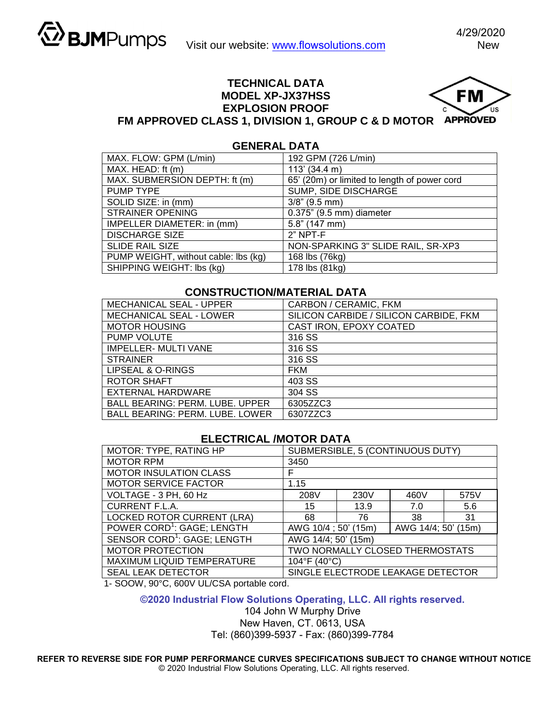#### **TECHNICAL DATA FM MODEL XP-JX37HSS EXPLOSION PROOF FM APPROVED CLASS 1, DIVISION 1, GROUP C & D MOTOR**

## **GENERAL DATA**

| MAX. FLOW: GPM (L/min)               | 192 GPM (726 L/min)                          |  |  |
|--------------------------------------|----------------------------------------------|--|--|
| MAX. HEAD: ft (m)                    | 113' (34.4 m)                                |  |  |
| MAX. SUBMERSION DEPTH: ft (m)        | 65' (20m) or limited to length of power cord |  |  |
| PUMP TYPE                            | SUMP, SIDE DISCHARGE                         |  |  |
| SOLID SIZE: in (mm)                  | $3/8$ " (9.5 mm)                             |  |  |
| <b>STRAINER OPENING</b>              | 0.375" (9.5 mm) diameter                     |  |  |
| IMPELLER DIAMETER: in (mm)           | $5.8$ " (147 mm)                             |  |  |
| <b>DISCHARGE SIZE</b>                | $2"$ NPT-F                                   |  |  |
| <b>SLIDE RAIL SIZE</b>               | NON-SPARKING 3" SLIDE RAIL, SR-XP3           |  |  |
| PUMP WEIGHT, without cable: lbs (kg) | 168 lbs (76kg)                               |  |  |
| SHIPPING WEIGHT: Ibs (kg)            | 178 lbs (81kg)                               |  |  |

## **CONSTRUCTION/MATERIAL DATA**

| <b>MECHANICAL SEAL - UPPER</b>         | CARBON / CERAMIC, FKM                  |  |  |
|----------------------------------------|----------------------------------------|--|--|
| MECHANICAL SEAL - LOWER                | SILICON CARBIDE / SILICON CARBIDE, FKM |  |  |
| <b>MOTOR HOUSING</b>                   | CAST IRON, EPOXY COATED                |  |  |
| PUMP VOLUTE                            | 316 SS                                 |  |  |
| IMPELLER- MULTI VANE                   | 316 SS                                 |  |  |
| <b>STRAINER</b>                        | 316 SS                                 |  |  |
| LIPSEAL & O-RINGS                      | <b>FKM</b>                             |  |  |
| <b>ROTOR SHAFT</b>                     | 403 SS                                 |  |  |
| EXTERNAL HARDWARE                      | 304 SS                                 |  |  |
| <b>BALL BEARING: PERM. LUBE. UPPER</b> | 6305ZZC3                               |  |  |
| <b>BALL BEARING: PERM. LUBE. LOWER</b> | 6307ZZC3                               |  |  |

# **ELECTRICAL /MOTOR DATA**

| MOTOR: TYPE, RATING HP                  | SUBMERSIBLE, 5 (CONTINUOUS DUTY)           |      |      |      |  |  |
|-----------------------------------------|--------------------------------------------|------|------|------|--|--|
| <b>MOTOR RPM</b>                        | 3450                                       |      |      |      |  |  |
| <b>MOTOR INSULATION CLASS</b>           | F                                          |      |      |      |  |  |
| <b>MOTOR SERVICE FACTOR</b>             | 1.15                                       |      |      |      |  |  |
| VOLTAGE - 3 PH, 60 Hz                   | 208V                                       | 230V | 460V | 575V |  |  |
| <b>CURRENT F.L.A.</b>                   | 15                                         | 13.9 | 7.0  | 5.6  |  |  |
| <b>LOCKED ROTOR CURRENT (LRA)</b>       | 68                                         | 76   | 38   | 31   |  |  |
| POWER CORD <sup>1</sup> : GAGE; LENGTH  | AWG 10/4; 50' (15m)<br>AWG 14/4; 50' (15m) |      |      |      |  |  |
| SENSOR CORD <sup>1</sup> : GAGE; LENGTH | AWG 14/4; 50' (15m)                        |      |      |      |  |  |
| <b>MOTOR PROTECTION</b>                 | <b>TWO NORMALLY CLOSED THERMOSTATS</b>     |      |      |      |  |  |
| MAXIMUM LIQUID TEMPERATURE              | 104°F (40°C)                               |      |      |      |  |  |
| <b>SEAL LEAK DETECTOR</b>               | SINGLE ELECTRODE LEAKAGE DETECTOR          |      |      |      |  |  |

1- SOOW, 90°C, 600V UL/CSA portable cord.

#### **©2020 Industrial Flow Solutions Operating, LLC. All rights reserved.**

104 John W Murphy Drive New Haven, CT. 0613, USA

Tel: (860)399-5937 - Fax: (860)399-7784

**REFER TO REVERSE SIDE FOR PUMP PERFORMANCE CURVES SPECIFICATIONS SUBJECT TO CHANGE WITHOUT NOTICE**  © 2020 Industrial Flow Solutions Operating, LLC. All rights reserved.